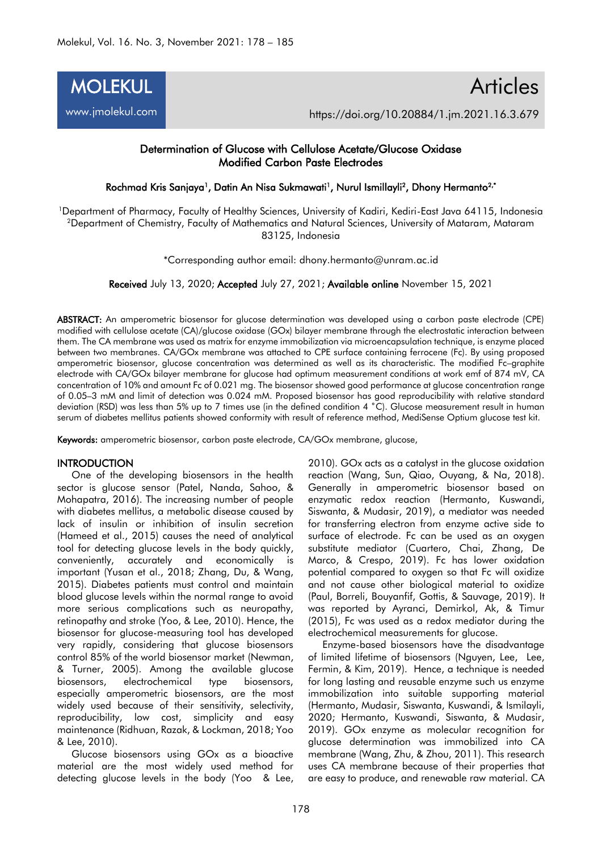

# Articles https://doi.org/10.20884/1.jm.2021.16.3.679

## Determination of Glucose with Cellulose Acetate/Glucose Oxidase Modified Carbon Paste Electrodes

Rochmad Kris Sanjaya<sup>1</sup>, Datin An Nisa Sukmawati<sup>1</sup>, Nurul Ismillayli<sup>2</sup>, Dhony Hermanto<sup>2,•</sup>

<sup>1</sup>Department of Pharmacy, Faculty of Healthy Sciences, University of Kadiri, Kediri-East Java 64115, Indonesia <sup>2</sup>Department of Chemistry, Faculty of Mathematics and Natural Sciences, University of Mataram, Mataram 83125, Indonesia

\*Corresponding author email: [dhony.hermanto@unram.ac.id](mailto:dhony.hermanto@unram.ac.id)

Received July 13, 2020; Accepted July 27, 2021; Available online November 15, 2021

ABSTRACT: An amperometric biosensor for glucose determination was developed using a carbon paste electrode (CPE) modified with cellulose acetate (CA)/glucose oxidase (GOx) bilayer membrane through the electrostatic interaction between them. The CA membrane was used as matrix for enzyme immobilization via microencapsulation technique, is enzyme placed between two membranes. CA/GOx membrane was attached to CPE surface containing ferrocene (Fc). By using proposed amperometric biosensor, glucose concentration was determined as well as its characteristic. The modified Fc–graphite electrode with CA/GOx bilayer membrane for glucose had optimum measurement conditions at work emf of 874 mV, CA concentration of 10% and amount Fc of 0.021 mg. The biosensor showed good performance at glucose concentration range of 0.05–3 mM and limit of detection was 0.024 mM. Proposed biosensor has good reproducibility with relative standard deviation (RSD) was less than 5% up to 7 times use (in the defined condition 4 °C). Glucose measurement result in human serum of diabetes mellitus patients showed conformity with result of reference method, MediSense Optium glucose test kit.

Keywords: amperometric biosensor, carbon paste electrode, CA/GO<sub>x</sub> membrane, glucose,

### **INTRODUCTION**

One of the developing biosensors in the health sector is glucose sensor (Patel, Nanda, Sahoo, & Mohapatra, 2016). The increasing number of people with diabetes mellitus, a metabolic disease caused by lack of insulin or inhibition of insulin secretion (Hameed et al., 2015) causes the need of analytical tool for detecting glucose levels in the body quickly, conveniently, accurately and economically is important (Yusan et al., 2018; Zhang, Du, & Wang, 2015). Diabetes patients must control and maintain blood glucose levels within the normal range to avoid more serious complications such as neuropathy, retinopathy and stroke (Yoo, & Lee, 2010). Hence, the biosensor for glucose-measuring tool has developed very rapidly, considering that glucose biosensors control 85% of the world biosensor market (Newman, & Turner, 2005). Among the available glucose biosensors, electrochemical type biosensors, especially amperometric biosensors, are the most widely used because of their sensitivity, selectivity, reproducibility, low cost, simplicity and easy maintenance (Ridhuan, Razak, & Lockman, 2018; Yoo & Lee, 2010).

Glucose biosensors using GOx as a bioactive material are the most widely used method for detecting glucose levels in the body (Yoo & Lee,

2010). GOx acts as a catalyst in the glucose oxidation reaction (Wang, Sun, Qiao, Ouyang, & Na, 2018). Generally in amperometric biosensor based on enzymatic redox reaction (Hermanto, Kuswandi, Siswanta, & Mudasir, 2019), a mediator was needed for transferring electron from enzyme active side to surface of electrode. Fc can be used as an oxygen substitute mediator (Cuartero, Chai, Zhang, De Marco, & Crespo, 2019). Fc has lower oxidation potential compared to oxygen so that Fc will oxidize and not cause other biological material to oxidize (Paul, Borreli, Bouyanfif, Gottis, & Sauvage, 2019). It was reported by Ayranci, Demirkol, Ak, & Timur (2015), Fc was used as a redox mediator during the electrochemical measurements for glucose.

Enzyme-based biosensors have the disadvantage of limited lifetime of biosensors (Nguyen, Lee, Lee, Fermin, & Kim, 2019). Hence, a technique is needed for long lasting and reusable enzyme such us enzyme immobilization into suitable supporting material (Hermanto, Mudasir, Siswanta, Kuswandi, & Ismilayli, 2020; Hermanto, Kuswandi, Siswanta, & Mudasir, 2019). GOx enzyme as molecular recognition for glucose determination was immobilized into CA membrane (Wang, Zhu, & Zhou, 2011). This research uses CA membrane because of their properties that are easy to produce, and renewable raw material. CA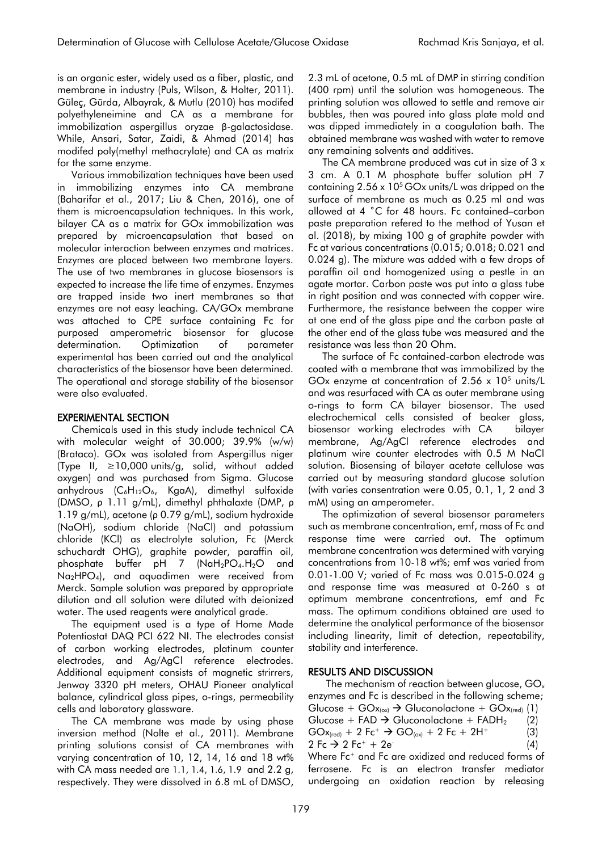is an organic ester, widely used as a fiber, plastic, and membrane in industry (Puls, Wilson, & Holter, 2011). Güleç, Gürda, Albayrak, & Mutlu (2010) has modifed polyethyleneimine and CA as a membrane for immobilization aspergillus oryzae β-galactosidase. While, Ansari, Satar, Zaidi, & Ahmad (2014) has modifed poly(methyl methacrylate) and CA as matrix for the same enzyme.

Various immobilization techniques have been used in immobilizing enzymes into CA membrane (Baharifar et al., 2017; Liu & Chen, 2016), one of them is microencapsulation techniques. In this work, bilayer CA as a matrix for GOx immobilization was prepared by microencapsulation that based on molecular interaction between enzymes and matrices. Enzymes are placed between two membrane layers. The use of two membranes in glucose biosensors is expected to increase the life time of enzymes. Enzymes are trapped inside two inert membranes so that enzymes are not easy leaching. CA/GOx membrane was attached to CPE surface containing Fc for purposed amperometric biosensor for glucose determination. Optimization of parameter experimental has been carried out and the analytical characteristics of the biosensor have been determined. The operational and storage stability of the biosensor were also evaluated.

### EXPERIMENTAL SECTION

Chemicals used in this study include technical CA with molecular weight of 30.000; 39.9% (w/w) (Brataco). GOx was isolated from Aspergillus niger (Type II, ≥10,000 units/g, solid, without added oxygen) and was purchased from Sigma. Glucose anhydrous  $(C_6H_{12}O_6, KgaA)$ , dimethyl sulfoxide (DMSO, ρ 1.11 g/mL), dimethyl phthalaxte (DMP, ρ 1.19 g/mL), acetone (ρ 0.79 g/mL), sodium hydroxide (NaOH), sodium chloride (NaCl) and potassium chloride (KCl) as electrolyte solution, Fc (Merck schuchardt OHG), graphite powder, paraffin oil, phosphate buffer pH 7  $(NaH_2PO_4.H_2O$  and Na<sub>2</sub>HPO<sub>4</sub>), and aquadimen were received from Merck. Sample solution was prepared by appropriate dilution and all solution were diluted with deionized water. The used reagents were analytical grade.

The equipment used is a type of Home Made Potentiostat DAQ PCI 622 NI. The electrodes consist of carbon working electrodes, platinum counter electrodes, and Ag/AgCl reference electrodes. Additional equipment consists of magnetic strirrers, Jenway 3320 pH meters, OHAU Pioneer analytical balance, cylindrical glass pipes, o-rings, permeability cells and laboratory glassware.

The CA membrane was made by using phase inversion method (Nolte et al., 2011). Membrane printing solutions consist of CA membranes with varying concentration of 10, 12, 14, 16 and 18 wt% with CA mass needed are 1.1, 1.4, 1.6, 1.9 and 2.2 g, respectively. They were dissolved in 6.8 mL of DMSO,

2.3 mL of acetone, 0.5 mL of DMP in stirring condition (400 rpm) until the solution was homogeneous. The printing solution was allowed to settle and remove air bubbles, then was poured into glass plate mold and was dipped immediately in a coagulation bath. The obtained membrane was washed with water to remove any remaining solvents and additives.

The CA membrane produced was cut in size of 3 x 3 cm. A 0.1 M phosphate buffer solution pH 7 containing  $2.56 \times 10^5$  GO<sub>x</sub> units/L was dripped on the surface of membrane as much as 0.25 ml and was allowed at 4 ˚C for 48 hours. Fc contained–carbon paste preparation refered to the method of Yusan et al. (2018), by mixing 100 g of graphite powder with Fc at various concentrations (0.015; 0.018; 0.021 and 0.024 g). The mixture was added with a few drops of paraffin oil and homogenized using a pestle in an agate mortar. Carbon paste was put into a glass tube in right position and was connected with copper wire. Furthermore, the resistance between the copper wire at one end of the glass pipe and the carbon paste at the other end of the glass tube was measured and the resistance was less than 20 Ohm.

The surface of Fc contained-carbon electrode was coated with a membrane that was immobilized by the GOx enzyme at concentration of  $2.56 \times 10^5$  units/L and was resurfaced with CA as outer membrane using o-rings to form CA bilayer biosensor. The used electrochemical cells consisted of beaker glass, biosensor working electrodes with CA bilayer membrane, Ag/AgCl reference electrodes and platinum wire counter electrodes with 0.5 M NaCl solution. Biosensing of bilayer acetate cellulose was carried out by measuring standard glucose solution (with varies consentration were 0.05, 0.1, 1, 2 and 3 mM) using an amperometer.

The optimization of several biosensor parameters such as membrane concentration, emf, mass of Fc and response time were carried out. The optimum membrane concentration was determined with varying concentrations from 10-18 wt%; emf was varied from 0.01-1.00 V; varied of Fc mass was 0.015-0.024 g and response time was measured at 0-260 s at optimum membrane concentrations, emf and Fc mass. The optimum conditions obtained are used to determine the analytical performance of the biosensor including linearity, limit of detection, repeatability, stability and interference.

### RESULTS AND DISCUSSION

The mechanism of reaction between glucose,  $GO_x$ enzymes and Fc is described in the following scheme; Glucose +  $GOx_{(ox)} \rightarrow$  Gluconolactone +  $GOx_{(red)}$  (1) Glucose + FAD  $\rightarrow$  Gluconolactone + FADH<sub>2</sub> (2)  $GOx_{\text{(red)}} + 2 \text{ Fc}^+ \rightarrow GO_{\text{(ox)}} + 2 \text{ Fc} + 2H^+$  (3) 2 Fc → 2 Fc<sup>+</sup> + 2e<sup>-</sup> (4) Where Fc<sup>+</sup> and Fc are oxidized and reduced forms of

ferrosene. Fc is an electron transfer mediator undergoing an oxidation reaction by releasing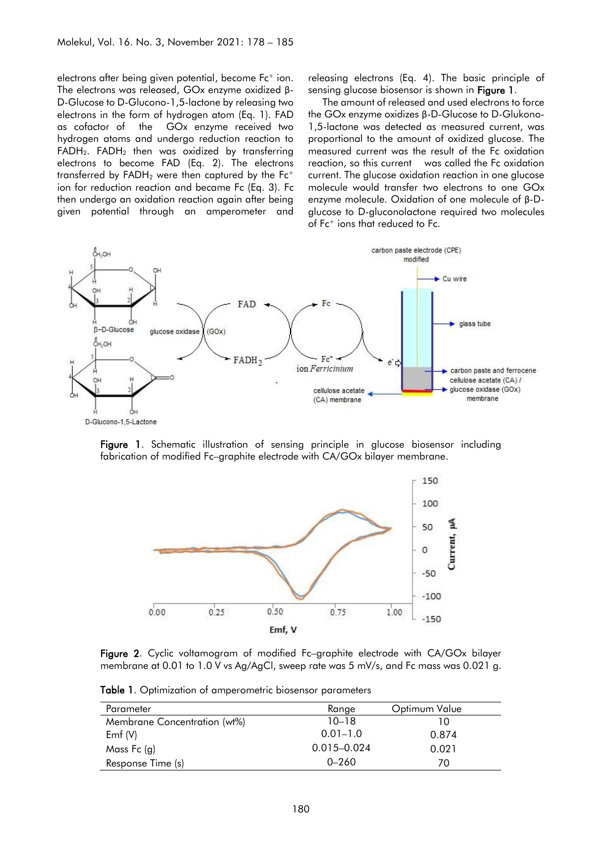electrons after being given potential, become Fc<sup>+</sup> ion. The electrons was released, GOx enzyme oxidized β-D-Glucose to D-Glucono-1,5-lactone by releasing two electrons in the form of hydrogen atom (Eq. 1). FAD as cofactor of the GOx enzyme received two hydrogen atoms and undergo reduction reaction to  $FADH<sub>2</sub>$ .  $FADH<sub>2</sub>$  then was oxidized by transferring electrons to become FAD (Eq. 2). The electrons transferred by  $FADH<sub>2</sub>$  were then captured by the  $Fc<sup>+</sup>$ ion for reduction reaction and became Fc (Eq. 3). Fc then undergo an oxidation reaction again after being given potential through an amperometer and releasing electrons (Eq. 4). The basic principle of sensing glucose biosensor is shown in **Figure 1.** 

The amount of released and used electrons to force the GOx enzyme oxidizes β-D-Glucose to D-Glukono-1,5-lactone was detected as measured current, was proportional to the amount of oxidized glucose. The measured current was the result of the Fc oxidation reaction, so this current was called the Fc oxidation current. The glucose oxidation reaction in one glucose molecule would transfer two electrons to one GOx enzyme molecule. Oxidation of one molecule of β-Dglucose to D-gluconolactone required two molecules of Fc<sup>+</sup> ions that reduced to Fc.



Figure 1. Schematic illustration of sensing principle in glucose biosensor including fabrication of modified Fc–graphite electrode with CA/GOx bilayer membrane.



Figure 2. Cyclic voltamogram of modified Fc–graphite electrode with CA/GOx bilayer membrane at 0.01 to 1.0 V vs Ag/AgCl, sweep rate was 5 mV/s, and Fc mass was 0.021 g.

Table 1. Optimization of amperometric biosensor parameters

| Parameter                    | Range           | Optimum Value |
|------------------------------|-----------------|---------------|
| Membrane Concentration (wt%) | $10 - 18$       | 10            |
| Emf $(V)$                    | $0.01 - 1.0$    | 0.874         |
| Mass Fc $(g)$                | $0.015 - 0.024$ | 0.021         |
| Response Time (s)            | $0 - 260$       | 70            |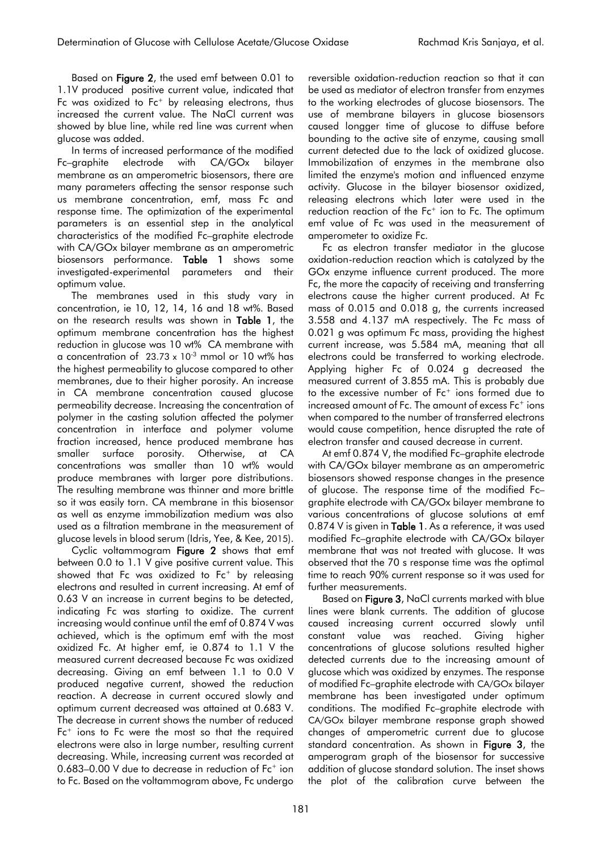Based on Figure 2, the used emf between 0.01 to 1.1V produced positive current value, indicated that Fc was oxidized to  $Fe<sup>+</sup>$  by releasing electrons, thus increased the current value. The NaCl current was showed by blue line, while red line was current when glucose was added.

In terms of increased performance of the modified Fc–graphite electrode with CA/GOx bilayer membrane as an amperometric biosensors, there are many parameters affecting the sensor response such us membrane concentration, emf, mass Fc and response time. The optimization of the experimental parameters is an essential step in the analytical characteristics of the modified Fc–graphite electrode with CA/GOx bilayer membrane as an amperometric biosensors performance. Table 1 shows some investigated-experimental parameters and their optimum value.

The membranes used in this study vary in concentration, ie 10, 12, 14, 16 and 18 wt%. Based on the research results was shown in Table 1, the optimum membrane concentration has the highest reduction in glucose was 10 wt% CA membrane with a concentration of  $23.73 \times 10^{-3}$  mmol or 10 wt% has the highest permeability to glucose compared to other membranes, due to their higher porosity. An increase in CA membrane concentration caused glucose permeability decrease. Increasing the concentration of polymer in the casting solution affected the polymer concentration in interface and polymer volume fraction increased, hence produced membrane has smaller surface porosity. Otherwise, at CA concentrations was smaller than 10 wt% would produce membranes with larger pore distributions. The resulting membrane was thinner and more brittle so it was easily torn. CA membrane in this biosensor as well as enzyme immobilization medium was also used as a filtration membrane in the measurement of glucose levels in blood serum (Idris, Yee, & Kee, 2015).

Cyclic voltammogram Figure 2 shows that emf between 0.0 to 1.1 V give positive current value. This showed that Fc was oxidized to  $Fe<sup>+</sup>$  by releasing electrons and resulted in current increasing. At emf of 0.63 V an increase in current begins to be detected, indicating Fc was starting to oxidize. The current increasing would continue until the emf of 0.874 V was achieved, which is the optimum emf with the most oxidized Fc. At higher emf, ie 0.874 to 1.1 V the measured current decreased because Fc was oxidized decreasing. Giving an emf between 1.1 to 0.0 V produced negative current, showed the reduction reaction. A decrease in current occured slowly and optimum current decreased was attained at 0.683 V. The decrease in current shows the number of reduced Fc<sup>+</sup> ions to Fc were the most so that the required electrons were also in large number, resulting current decreasing. While, increasing current was recorded at  $0.683-0.00$  V due to decrease in reduction of  $Fe<sup>+</sup>$  ion to Fc. Based on the voltammogram above, Fc undergo

reversible oxidation-reduction reaction so that it can be used as mediator of electron transfer from enzymes to the working electrodes of glucose biosensors. The use of membrane bilayers in glucose biosensors caused longger time of glucose to diffuse before bounding to the active site of enzyme, causing small current detected due to the lack of oxidized glucose. Immobilization of enzymes in the membrane also limited the enzyme's motion and influenced enzyme activity. Glucose in the bilayer biosensor oxidized, releasing electrons which later were used in the reduction reaction of the Fc<sup>+</sup> ion to Fc. The optimum emf value of Fc was used in the measurement of amperometer to oxidize Fc.

Fc as electron transfer mediator in the glucose oxidation-reduction reaction which is catalyzed by the GOx enzyme influence current produced. The more Fc, the more the capacity of receiving and transferring electrons cause the higher current produced. At Fc mass of 0.015 and 0.018 g, the currents increased 3.558 and 4.137 mA respectively. The Fc mass of 0.021 g was optimum Fc mass, providing the highest current increase, was 5.584 mA, meaning that all electrons could be transferred to working electrode. Applying higher Fc of 0.024 g decreased the measured current of 3.855 mA. This is probably due to the excessive number of Fc<sup>+</sup> ions formed due to increased amount of Fc. The amount of excess Fc<sup>+</sup> ions when compared to the number of transferred electrons would cause competition, hence disrupted the rate of electron transfer and caused decrease in current.

At emf 0.874 V, the modified Fc–graphite electrode with CA/GOx bilayer membrane as an amperometric biosensors showed response changes in the presence of glucose. The response time of the modified Fc– graphite electrode with CA/GOx bilayer membrane to various concentrations of glucose solutions at emf 0.874 V is given in Table 1. As a reference, it was used modified Fc–graphite electrode with CA/GOx bilayer membrane that was not treated with glucose. It was observed that the 70 s response time was the optimal time to reach 90% current response so it was used for further measurements.

Based on Figure 3, NaCl currents marked with blue lines were blank currents. The addition of glucose caused increasing current occurred slowly until constant value was reached. Giving higher concentrations of glucose solutions resulted higher detected currents due to the increasing amount of glucose which was oxidized by enzymes. The response of modified Fc–graphite electrode with CA/GOx bilayer membrane has been investigated under optimum conditions. The modified Fc–graphite electrode with CA/GOx bilayer membrane response graph showed changes of amperometric current due to glucose standard concentration. As shown in Figure 3, the amperogram graph of the biosensor for successive addition of glucose standard solution. The inset shows the plot of the calibration curve between the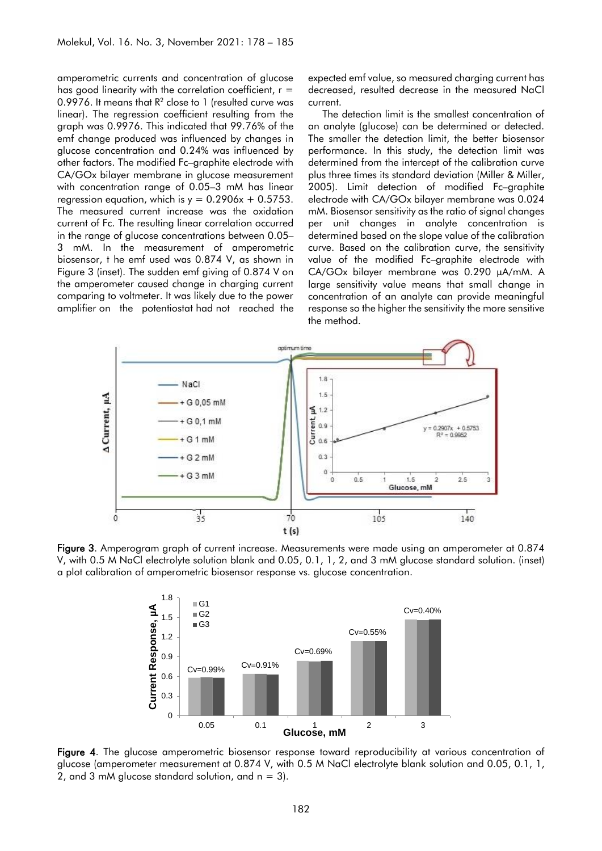amperometric currents and concentration of glucose has good linearity with the correlation coefficient,  $r =$ 0.9976. It means that  $R^2$  close to 1 (resulted curve was linear). The regression coefficient resulting from the graph was 0.9976. This indicated that 99.76% of the emf change produced was influenced by changes in glucose concentration and 0.24% was influenced by other factors. The modified Fc–graphite electrode with CA/GOx bilayer membrane in glucose measurement with concentration range of 0.05–3 mM has linear regression equation, which is  $y = 0.2906x + 0.5753$ . The measured current increase was the oxidation current of Fc. The resulting linear correlation occurred in the range of glucose concentrations between 0.05– 3 mM. In the measurement of amperometric biosensor, t he emf used was 0.874 V, as shown in Figure 3 (inset). The sudden emf giving of 0.874 V on the amperometer caused change in charging current comparing to voltmeter. It was likely due to the power amplifier on the potentiostat had not reached the

expected emf value, so measured charging current has decreased, resulted decrease in the measured NaCl current.

The detection limit is the smallest concentration of an analyte (glucose) can be determined or detected. The smaller the detection limit, the better biosensor performance. In this study, the detection limit was determined from the intercept of the calibration curve plus three times its standard deviation (Miller & Miller, 2005). Limit detection of modified Fc–graphite electrode with CA/GOx bilayer membrane was 0.024 mM. Biosensor sensitivity as the ratio of signal changes per unit changes in analyte concentration is determined based on the slope value of the calibration curve. Based on the calibration curve, the sensitivity value of the modified Fc–graphite electrode with CA/GOx bilayer membrane was 0.290 μA/mM. A large sensitivity value means that small change in concentration of an analyte can provide meaningful response so the higher the sensitivity the more sensitive the method.



Figure 3. Amperogram graph of current increase. Measurements were made using an amperometer at 0.874 V, with 0.5 M NaCl electrolyte solution blank and 0.05, 0.1, 1, 2, and 3 mM glucose standard solution. (inset) a plot calibration of amperometric biosensor response vs. glucose concentration.



Figure 4. The glucose amperometric biosensor response toward reproducibility at various concentration of glucose (amperometer measurement at 0.874 V, with 0.5 M NaCl electrolyte blank solution and 0.05, 0.1, 1, 2, and 3 mM glucose standard solution, and  $n = 3$ ).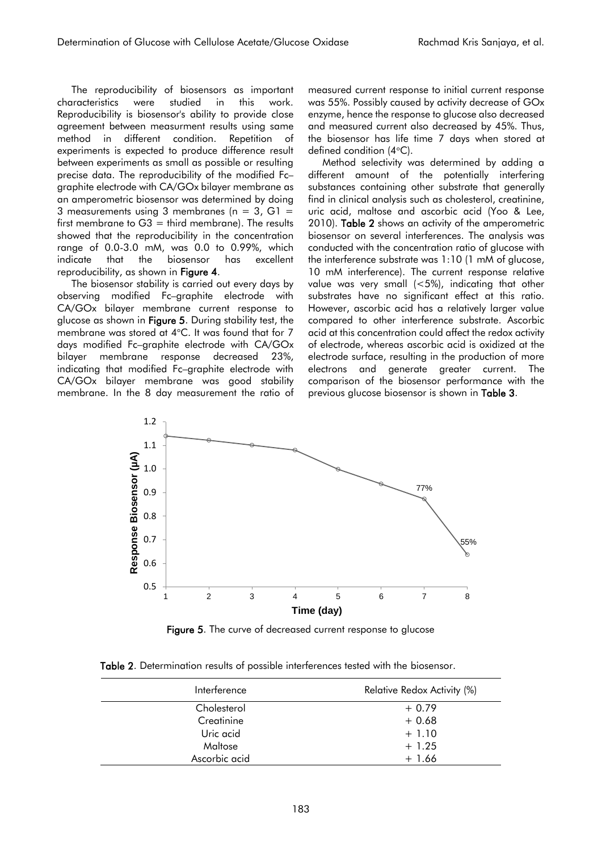The reproducibility of biosensors as important characteristics were studied in this work. Reproducibility is biosensor's ability to provide close agreement between measurment results using same method in different condition. Repetition of experiments is expected to produce difference result between experiments as small as possible or resulting precise data. The reproducibility of the modified Fc– graphite electrode with CA/GOx bilayer membrane as an amperometric biosensor was determined by doing 3 measurements using 3 membranes ( $n = 3$ , G1 = first membrane to  $G3 =$  third membrane). The results showed that the reproducibility in the concentration range of 0.0-3.0 mM, was 0.0 to 0.99%, which indicate that the biosensor has excellent reproducibility, as shown in Figure 4.

The biosensor stability is carried out every days by observing modified Fc–graphite electrode with CA/GOx bilayer membrane current response to glucose as shown in Figure 5. During stability test, the membrane was stored at  $4^{\circ}$ C. It was found that for 7 days modified Fc–graphite electrode with CA/GOx bilayer membrane response decreased 23%, indicating that modified Fc–graphite electrode with CA/GOx bilayer membrane was good stability membrane. In the 8 day measurement the ratio of measured current response to initial current response was 55%. Possibly caused by activity decrease of GOx enzyme, hence the response to glucose also decreased and measured current also decreased by 45%. Thus, the biosensor has life time 7 days when stored at defined condition  $(4^{\circ}C)$ .

Method selectivity was determined by adding a different amount of the potentially interfering substances containing other substrate that generally find in clinical analysis such as cholesterol, creatinine, uric acid, maltose and ascorbic acid (Yoo & Lee, 2010). Table 2 shows an activity of the amperometric biosensor on several interferences. The analysis was conducted with the concentration ratio of glucose with the interference substrate was 1:10 (1 mM of glucose, 10 mM interference). The current response relative value was very small (<5%), indicating that other substrates have no significant effect at this ratio. However, ascorbic acid has a relatively larger value compared to other interference substrate. Ascorbic acid at this concentration could affect the redox activity of electrode, whereas ascorbic acid is oxidized at the electrode surface, resulting in the production of more electrons and generate greater current. The comparison of the biosensor performance with the previous glucose biosensor is shown in Table 3.



Figure 5. The curve of decreased current response to alucose

| Table 2. Determination results of possible interferences tested with the biosensor. |  |  |  |  |  |  |  |
|-------------------------------------------------------------------------------------|--|--|--|--|--|--|--|
|-------------------------------------------------------------------------------------|--|--|--|--|--|--|--|

| Interference  | Relative Redox Activity (%) |
|---------------|-----------------------------|
| Cholesterol   | $+0.79$                     |
| Creatinine    | $+0.68$                     |
| Uric acid     | $+1.10$                     |
| Maltose       | $+1.25$                     |
| Ascorbic acid | $+1.66$                     |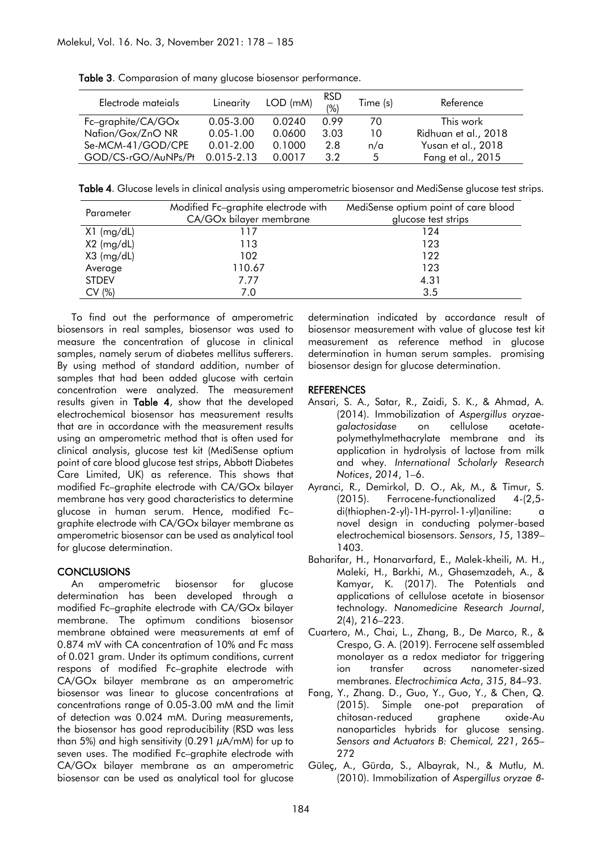| Electrode mateials  | Linearity      | $LOD$ (mM) | <b>RSD</b><br>(%) | Time (s) | Reference            |
|---------------------|----------------|------------|-------------------|----------|----------------------|
| Fc-graphite/CA/GOx  | $0.05 - 3.00$  | 0.0240     | O 99              | 70       | This work            |
| Nafion/Gox/ZnO NR   | $0.05 - 1.00$  | 0.0600     | 3.03              | 10       | Ridhuan et al., 2018 |
| Se-MCM-41/GOD/CPE   | $0.01 - 2.00$  | 0.1000     | 2.8               | n/a      | Yusan et al., 2018   |
| GOD/CS-rGO/AuNPs/Pt | $0.015 - 2.13$ | 0.0017     | 3.2               | 5        | Fang et al., 2015    |

Table 3. Comparasion of many glucose biosensor performance.

Table 4. Glucose levels in clinical analysis using amperometric biosensor and MediSense glucose test strips.

| Parameter    | Modified Fc-graphite electrode with<br>CA/GOx bilayer membrane | MediSense optium point of care blood<br>glucose test strips |
|--------------|----------------------------------------------------------------|-------------------------------------------------------------|
| X1 (mg/dL)   | 117                                                            | 124                                                         |
| $X2$ (mg/dL) | 113                                                            | 123                                                         |
| $X3$ (mg/dL) | 102                                                            | 122                                                         |
| Average      | 110.67                                                         | 123                                                         |
| <b>STDEV</b> | 7.77                                                           | 4.31                                                        |
| CV(%)        | 7.0                                                            | 3.5                                                         |

To find out the performance of amperometric biosensors in real samples, biosensor was used to measure the concentration of glucose in clinical samples, namely serum of diabetes mellitus sufferers. By using method of standard addition, number of samples that had been added glucose with certain concentration were analyzed. The measurement results given in Table 4, show that the developed electrochemical biosensor has measurement results that are in accordance with the measurement results using an amperometric method that is often used for clinical analysis, glucose test kit (MediSense optium point of care blood glucose test strips, Abbott Diabetes Care Limited, UK) as reference. This shows that modified Fc–graphite electrode with CA/GOx bilayer membrane has very good characteristics to determine glucose in human serum. Hence, modified Fc– graphite electrode with CA/GOx bilayer membrane as amperometric biosensor can be used as analytical tool for glucose determination.

### **CONCLUSIONS**

An amperometric biosensor for glucose determination has been developed through a modified Fc–graphite electrode with CA/GOx bilayer membrane. The optimum conditions biosensor membrane obtained were measurements at emf of 0.874 mV with CA concentration of 10% and Fc mass of 0.021 gram. Under its optimum conditions, current respons of modified Fc–graphite electrode with CA/GOx bilayer membrane as an amperometric biosensor was linear to glucose concentrations at concentrations range of 0.05-3.00 mM and the limit of detection was 0.024 mM. During measurements, the biosensor has good reproducibility (RSD was less than 5%) and high sensitivity (0.291  $\mu$ A/mM) for up to seven uses. The modified Fc–graphite electrode with CA/GOx bilayer membrane as an amperometric biosensor can be used as analytical tool for glucose determination indicated by accordance result of biosensor measurement with value of glucose test kit measurement as reference method in glucose determination in human serum samples. promising biosensor design for glucose determination.

#### REFERENCES

- Ansari, S. A., Satar, R., Zaidi, S. K., & Ahmad, A. (2014). Immobilization of *Aspergillus oryzaegalactosidase* on cellulose acetatepolymethylmethacrylate membrane and its application in hydrolysis of lactose from milk and whey. *International Scholarly Research Notices*, *2014*, 1–6.
- Ayranci, R., Demirkol, D. O., Ak, M., & Timur, S. (2015). Ferrocene-functionalized 4-(2,5 di(thiophen-2-yl)-1H-pyrrol-1-yl)aniline: a novel design in conducting polymer-based electrochemical biosensors. *Sensors*, *15*, 1389– 1403.
- Baharifar, H., Honarvarfard, E., Malek-kheili, M. H., Maleki, H., Barkhi, M., Ghasemzadeh, A., & Kamyar, K. (2017). The Potentials and applications of cellulose acetate in biosensor technology. *Nanomedicine Research Journal*, *2*(4), 216–223.
- Cuartero, M., Chai, L., Zhang, B., De Marco, R., & Crespo, G. A. (2019). Ferrocene self assembled monolayer as a redox mediator for triggering ion transfer across nanometer-sized membranes. *Electrochimica Acta*, *315*, 84–93.
- Fang, Y., Zhang. D., Guo, Y., Guo, Y., & Chen, Q. (2015). Simple one-pot preparation of chitosan-reduced graphene oxide-Au nanoparticles hybrids for glucose sensing. *Sensors and Actuators B: Chemical, 221*, 265– 272
- Güleç, A., Gürda, S., Albayrak, N., & Mutlu, M. (2010). Immobilization of *Aspergillus oryzae β-*